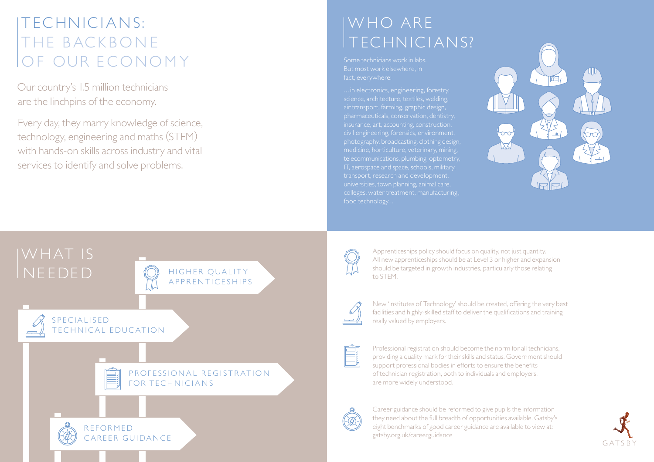## TECHNICIANS: THE BACKBONE OF OUR ECONOMY

 Our country's 1.5 million technicians are the linchpins of the economy.

Every day, they marry knowledge of science, technology, engineering and maths (STEM) with hands-on skills across industry and vital services to identify and solve problems.

## IWHO ARE T EC HNIC I ANS?

Some technicians work in labs. fact, everywhere:

... in electronics, engineering, forestry, air transport, farming, graphic design, insurance, art, accounting, construction, civil engineering, forensics, environment, IT, aerospace and space, schools, military, transport, research and development, colleges, water treatment, manufacturing ,



# NEEDED **SECUALITY**



CARFFR GUIDANCE

Apprenticeships policy should focus on quality, not just quantity. All new apprenticeships should be at Level 3 or higher and expansion should be targeted in growth industries, particularly those relating to STEM.



New 'Institutes of Technology' should be created, offering the very best facilities and highly-skilled staff to deliver the qualifications and training really valued by employers.



Professional registration should become the norm for all technicians, providing a quality mark for their skills and status. Government should support professional bodies in efforts to ensure the benefits of technician registration, both to individuals and employers, are more widely understood.



Career guidance should be reformed to give pupils the information they need about the full breadth of opportunities available. Gatsby's eight benchmarks of good career guidance are available to view at: [gatsby.org.uk/careerguidance](http://www.gatsby.org.uk/education/programmes/good-career-guidance)